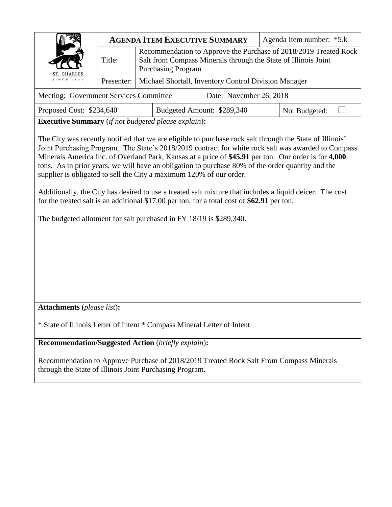|                                                                                                                                                                                                                                                                                                                                                                                                                                                                                                                                                                                                                                                                                                                                                                                                                                                     | <b>AGENDA ITEM EXECUTIVE SUMMARY</b> |                                                                                                                                                                 |  |  | Agenda Item number: *5.k |
|-----------------------------------------------------------------------------------------------------------------------------------------------------------------------------------------------------------------------------------------------------------------------------------------------------------------------------------------------------------------------------------------------------------------------------------------------------------------------------------------------------------------------------------------------------------------------------------------------------------------------------------------------------------------------------------------------------------------------------------------------------------------------------------------------------------------------------------------------------|--------------------------------------|-----------------------------------------------------------------------------------------------------------------------------------------------------------------|--|--|--------------------------|
|                                                                                                                                                                                                                                                                                                                                                                                                                                                                                                                                                                                                                                                                                                                                                                                                                                                     | Title:                               | Recommendation to Approve the Purchase of 2018/2019 Treated Rock<br>Salt from Compass Minerals through the State of Illinois Joint<br><b>Purchasing Program</b> |  |  |                          |
| <b>CHARLES</b><br>SINCE 1834                                                                                                                                                                                                                                                                                                                                                                                                                                                                                                                                                                                                                                                                                                                                                                                                                        | Presenter:                           | Michael Shortall, Inventory Control Division Manager                                                                                                            |  |  |                          |
| Meeting: Government Services Committee<br>Date: November 26, 2018                                                                                                                                                                                                                                                                                                                                                                                                                                                                                                                                                                                                                                                                                                                                                                                   |                                      |                                                                                                                                                                 |  |  |                          |
| Budgeted Amount: \$289,340<br>Proposed Cost: \$234,640<br>Not Budgeted:                                                                                                                                                                                                                                                                                                                                                                                                                                                                                                                                                                                                                                                                                                                                                                             |                                      |                                                                                                                                                                 |  |  |                          |
|                                                                                                                                                                                                                                                                                                                                                                                                                                                                                                                                                                                                                                                                                                                                                                                                                                                     |                                      |                                                                                                                                                                 |  |  |                          |
| <b>Executive Summary</b> (if not budgeted please explain):<br>The City was recently notified that we are eligible to purchase rock salt through the State of Illinois'<br>Joint Purchasing Program. The State's 2018/2019 contract for white rock salt was awarded to Compass<br>Minerals America Inc. of Overland Park, Kansas at a price of \$45.91 per ton. Our order is for 4,000<br>tons. As in prior years, we will have an obligation to purchase 80% of the order quantity and the<br>supplier is obligated to sell the City a maximum 120% of our order.<br>Additionally, the City has desired to use a treated salt mixture that includes a liquid deicer. The cost<br>for the treated salt is an additional \$17.00 per ton, for a total cost of \$62.91 per ton.<br>The budgeted allotment for salt purchased in FY 18/19 is \$289,340. |                                      |                                                                                                                                                                 |  |  |                          |
| <b>Attachments</b> (please list):                                                                                                                                                                                                                                                                                                                                                                                                                                                                                                                                                                                                                                                                                                                                                                                                                   |                                      |                                                                                                                                                                 |  |  |                          |
| * State of Illinois Letter of Intent * Compass Mineral Letter of Intent                                                                                                                                                                                                                                                                                                                                                                                                                                                                                                                                                                                                                                                                                                                                                                             |                                      |                                                                                                                                                                 |  |  |                          |

**Recommendation/Suggested Action** (*briefly explain*)**:**

Recommendation to Approve Purchase of 2018/2019 Treated Rock Salt From Compass Minerals through the State of Illinois Joint Purchasing Program.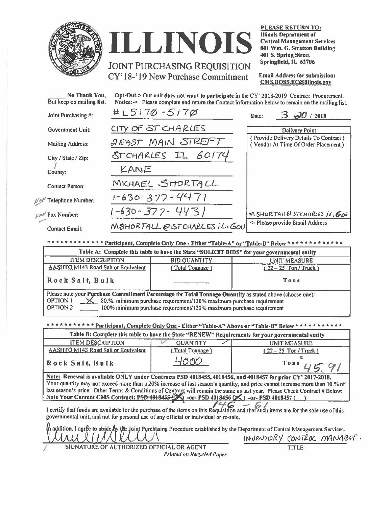

# ILLINOIS **JOINT PURCHASING REQUISITION**

CY'18-'19 New Purchase Commitment

**PLEASE RETURN TO: Illinois Department of Central Management Services** 801 Wm. G. Stratton Building 401 S. Spring Street Springfield, IL 62706

**Email Address for submission:** CMS.BOSS.EC@illinois.gov

| No Thank You,<br>But keep on mailing list. | Opt-Out-> Our unit does not want to participate in the CY' 2018-2019 Contract Procurement.<br>Notice: > Please complete and return the Contact information below to remain on the mailing list. |                                                                               |  |  |
|--------------------------------------------|-------------------------------------------------------------------------------------------------------------------------------------------------------------------------------------------------|-------------------------------------------------------------------------------|--|--|
| Joint Purchasing #:                        | $\#$ $L5170 - 5170$                                                                                                                                                                             | 3/20/2018<br>Date:                                                            |  |  |
| Government Unit:                           | CITY OF ST CHARLES                                                                                                                                                                              | <b>Delivery Point</b>                                                         |  |  |
| <b>Mailing Address:</b>                    | <b>QEAST MAIN STREET</b>                                                                                                                                                                        | (Provide Delivery Details To Contract)<br>(Vendor At Time Of Order Placement) |  |  |
| City / State / Zip:                        | STCHARLES IL 60174                                                                                                                                                                              |                                                                               |  |  |
| County:                                    | KANE                                                                                                                                                                                            |                                                                               |  |  |
| <b>Contact Person:</b>                     | MICHAEL SHORTALL                                                                                                                                                                                |                                                                               |  |  |
| $N^{\ell\ell\ell'}$ Telephone Number:      | $1 - 630.377 - 4471$                                                                                                                                                                            |                                                                               |  |  |
| $y \in \mathbb{R}^N$ Fax Number:           | 1-630-377-4431                                                                                                                                                                                  | M SHORTAIL @ STCHARLES IL. GOU                                                |  |  |
| <b>Contact Email:</b>                      | MSHORTALL @STCHARLES IL.GOU                                                                                                                                                                     | <- Please provide Email Address                                               |  |  |
|                                            |                                                                                                                                                                                                 |                                                                               |  |  |

\*\*\*\*\*\*\*\*\*\*\*\*\* Participant, Complete Only One - Either "Table-A" or "Table-B" Below \*\*\*

| Table A: Complete this table to have the State "SOLICIT BIDS" for your governmental entity               |                 |                       |  |
|----------------------------------------------------------------------------------------------------------|-----------------|-----------------------|--|
| <b>ITEM DESCRIPTION</b><br><b>BID QUANTITY</b><br><b>UNIT MEASURE</b>                                    |                 |                       |  |
| <b>AASHTO M143 Road Salt or Equivalent</b>                                                               | (Total Tonnage) | $(22 - 25$ Ton/Truck) |  |
| Rock Salt, Bulk                                                                                          |                 | Tons                  |  |
| Please note your Purchase Commitment Percentage for Total Tonnage Quantity as stated above (choose one): |                 |                       |  |
| $\times$ 80.%, minimum purchase requirement/120% maximum purchase requirement<br><b>OPTION 1</b>         |                 |                       |  |
| OPTION 2<br>100% minimum purchase requirement/120% maximum purchase requirement                          |                 |                       |  |

\* Particinant, Complete Only One - Either "Table-A" Above or "Table-R" Relow

|                                                                                                                                                                                                                                                                                                                                                                                                                                                                   | $\epsilon$ arm pair, complete only one - Emmer - Fable $\alpha$ - Above of - Fable D - Delow |                                                                                                                                       |  |
|-------------------------------------------------------------------------------------------------------------------------------------------------------------------------------------------------------------------------------------------------------------------------------------------------------------------------------------------------------------------------------------------------------------------------------------------------------------------|----------------------------------------------------------------------------------------------|---------------------------------------------------------------------------------------------------------------------------------------|--|
| Table B: Complete this table to have the State "RENEW" Requirements for your governmental entity                                                                                                                                                                                                                                                                                                                                                                  |                                                                                              |                                                                                                                                       |  |
| <b>ITEM DESCRIPTION</b>                                                                                                                                                                                                                                                                                                                                                                                                                                           | <b>OUANTITY</b>                                                                              | UNIT MEASURE                                                                                                                          |  |
| <b>AASHTO M143 Road Salt or Equivalent</b>                                                                                                                                                                                                                                                                                                                                                                                                                        | (Total Tonnage)                                                                              | $(22 - 25$ Ton/Truck)                                                                                                                 |  |
| Rock Salt, Bulk                                                                                                                                                                                                                                                                                                                                                                                                                                                   | 4000                                                                                         | $Tons$ ,                                                                                                                              |  |
| Note: Renewal is available ONLY under Contracts PSD 4018455, 4018456, and 4018457 for prior CY' 2017-2018.<br>Your quantity may not exceed more than a 20% increase of last season's quantity, and price cannot increase more than 10.% of<br>last season's price. Other Terms & Conditions of Contract will remain the same as last year. Please Check Contract # Below:<br>Note Your Current CMS Contract: PSD 4018455 - or- PSD 4018456 (X) -or- PSD 4018457 ( |                                                                                              |                                                                                                                                       |  |
| governmental unit, and not for personal use of any official or individual or re-sale.<br>the contract of the contract of the contract of the contract of the contract of the contract of the contract of                                                                                                                                                                                                                                                          |                                                                                              | I certify that funds are available for the purchase of the items on this Requisition and that such items are for the sole use of this |  |

In addition, I agree to abide by the Joint Pyrchasing Procedure established by the Department of Central Management Services. INVENTURY CONTROC MANAGER.

SIGNATURE OF AUTHORIZED OFFICIAL OR AGENT Printed on Recycled Paper **TITLE**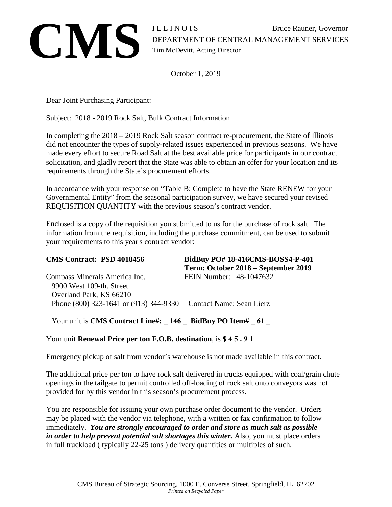

October 1, 2019

Dear Joint Purchasing Participant:

Subject: 2018 - 2019 Rock Salt, Bulk Contract Information

In completing the 2018 – 2019 Rock Salt season contract re-procurement, the State of Illinois did not encounter the types of supply-related issues experienced in previous seasons. We have made every effort to secure Road Salt at the best available price for participants in our contract solicitation, and gladly report that the State was able to obtain an offer for your location and its requirements through the State's procurement efforts.

In accordance with your response on "Table B: Complete to have the State RENEW for your Governmental Entity" from the seasonal participation survey, we have secured your revised REQUISITION QUANTITY with the previous season's contract vendor.

Enclosed is a copy of the requisition you submitted to us for the purchase of rock salt. The information from the requisition, including the purchase commitment, can be used to submit your requirements to this year's contract vendor:

| <b>CMS Contract: PSD 4018456</b>                                | BidBuy PO# 18-416CMS-BOSS4-P-401<br>Term: October 2018 – September 2019 |
|-----------------------------------------------------------------|-------------------------------------------------------------------------|
| Compass Minerals America Inc.                                   | FEIN Number: 48-1047632                                                 |
| 9900 West 109-th. Street                                        |                                                                         |
| Overland Park, KS 66210                                         |                                                                         |
| Phone (800) 323-1641 or (913) 344-9330 Contact Name: Sean Lierz |                                                                         |

Your unit is **CMS Contract Line#:**  $146$  **BidBuy PO Item#**  61

Your unit **Renewal Price per ton F.O.B. destination**, is **\$ 4 5 . 9 1** 

Emergency pickup of salt from vendor's warehouse is not made available in this contract.

The additional price per ton to have rock salt delivered in trucks equipped with coal/grain chute openings in the tailgate to permit controlled off-loading of rock salt onto conveyors was not provided for by this vendor in this season's procurement process.

You are responsible for issuing your own purchase order document to the vendor. Orders may be placed with the vendor via telephone, with a written or fax confirmation to follow immediately. *You are strongly encouraged to order and store as much salt as possible in order to help prevent potential salt shortages this winter.* Also, you must place orders in full truckload ( typically 22-25 tons ) delivery quantities or multiples of such.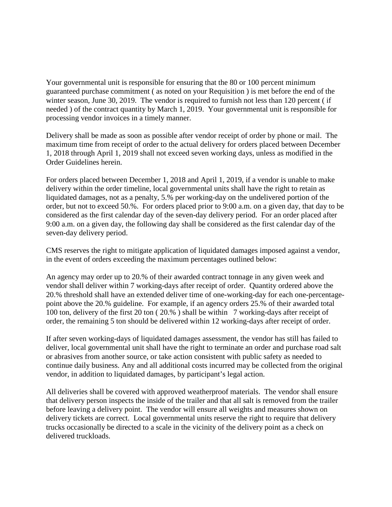Your governmental unit is responsible for ensuring that the 80 or 100 percent minimum guaranteed purchase commitment ( as noted on your Requisition ) is met before the end of the winter season, June 30, 2019. The vendor is required to furnish not less than 120 percent (if needed ) of the contract quantity by March 1, 2019. Your governmental unit is responsible for processing vendor invoices in a timely manner.

Delivery shall be made as soon as possible after vendor receipt of order by phone or mail. The maximum time from receipt of order to the actual delivery for orders placed between December 1, 2018 through April 1, 2019 shall not exceed seven working days, unless as modified in the Order Guidelines herein.

For orders placed between December 1, 2018 and April 1, 2019, if a vendor is unable to make delivery within the order timeline, local governmental units shall have the right to retain as liquidated damages, not as a penalty, 5.% per working-day on the undelivered portion of the order, but not to exceed 50.%. For orders placed prior to 9:00 a.m. on a given day, that day to be considered as the first calendar day of the seven-day delivery period. For an order placed after 9:00 a.m. on a given day, the following day shall be considered as the first calendar day of the seven-day delivery period.

CMS reserves the right to mitigate application of liquidated damages imposed against a vendor, in the event of orders exceeding the maximum percentages outlined below:

An agency may order up to 20.% of their awarded contract tonnage in any given week and vendor shall deliver within 7 working-days after receipt of order. Quantity ordered above the 20.% threshold shall have an extended deliver time of one-working-day for each one-percentagepoint above the 20.% guideline. For example, if an agency orders 25.% of their awarded total 100 ton, delivery of the first 20 ton ( 20.% ) shall be within 7 working-days after receipt of order, the remaining 5 ton should be delivered within 12 working-days after receipt of order.

If after seven working-days of liquidated damages assessment, the vendor has still has failed to deliver, local governmental unit shall have the right to terminate an order and purchase road salt or abrasives from another source, or take action consistent with public safety as needed to continue daily business. Any and all additional costs incurred may be collected from the original vendor, in addition to liquidated damages, by participant's legal action.

All deliveries shall be covered with approved weatherproof materials. The vendor shall ensure that delivery person inspects the inside of the trailer and that all salt is removed from the trailer before leaving a delivery point. The vendor will ensure all weights and measures shown on delivery tickets are correct. Local governmental units reserve the right to require that delivery trucks occasionally be directed to a scale in the vicinity of the delivery point as a check on delivered truckloads.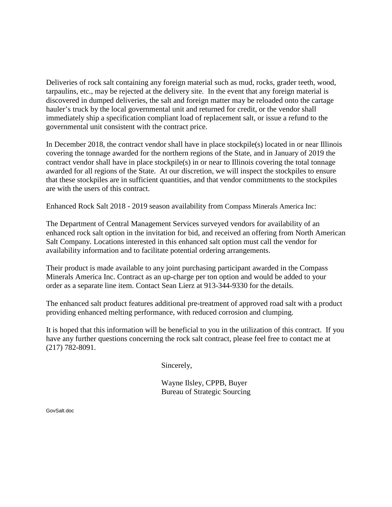Deliveries of rock salt containing any foreign material such as mud, rocks, grader teeth, wood, tarpaulins, etc., may be rejected at the delivery site. In the event that any foreign material is discovered in dumped deliveries, the salt and foreign matter may be reloaded onto the cartage hauler's truck by the local governmental unit and returned for credit, or the vendor shall immediately ship a specification compliant load of replacement salt, or issue a refund to the governmental unit consistent with the contract price.

In December 2018, the contract vendor shall have in place stockpile(s) located in or near Illinois covering the tonnage awarded for the northern regions of the State, and in January of 2019 the contract vendor shall have in place stockpile(s) in or near to Illinois covering the total tonnage awarded for all regions of the State. At our discretion, we will inspect the stockpiles to ensure that these stockpiles are in sufficient quantities, and that vendor commitments to the stockpiles are with the users of this contract.

Enhanced Rock Salt 2018 - 2019 season availability from Compass Minerals America Inc:

The Department of Central Management Services surveyed vendors for availability of an enhanced rock salt option in the invitation for bid, and received an offering from North American Salt Company. Locations interested in this enhanced salt option must call the vendor for availability information and to facilitate potential ordering arrangements.

Their product is made available to any joint purchasing participant awarded in the Compass Minerals America Inc. Contract as an up-charge per ton option and would be added to your order as a separate line item. Contact Sean Lierz at 913-344-9330 for the details.

The enhanced salt product features additional pre-treatment of approved road salt with a product providing enhanced melting performance, with reduced corrosion and clumping.

It is hoped that this information will be beneficial to you in the utilization of this contract. If you have any further questions concerning the rock salt contract, please feel free to contact me at (217) 782-8091.

Sincerely,

Wayne Ilsley, CPPB, Buyer Bureau of Strategic Sourcing

GovSalt.doc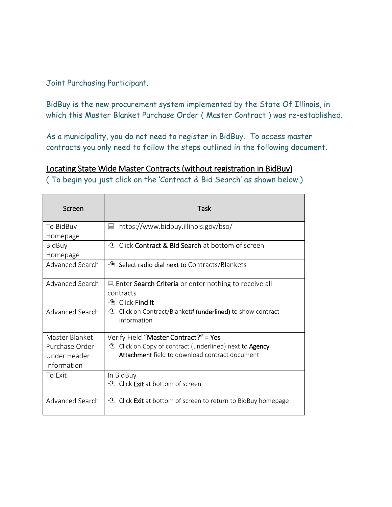Joint Purchasing Participant.

BidBuy is the new procurement system implemented by the State Of Illinois, in which this Master Blanket Purchase Order ( Master Contract ) was re-established.

As a municipality, you do not need to register in BidBuy. To access master contracts you only need to follow the steps outlined in the following document.

## Locating State Wide Master Contracts (without registration in BidBuy)

( To begin you just click on the 'Contract & Bid Search' as shown below.)

| Screen          | Task                                                                      |
|-----------------|---------------------------------------------------------------------------|
| To BidBuy       | https://www.bidbuy.illinois.gov/bso/<br>鳳                                 |
| Homepage        |                                                                           |
| <b>BidBuy</b>   | ↑ Click Contract & Bid Search at bottom of screen                         |
| Homepage        |                                                                           |
| Advanced Search | $\sqrt{2}$ Select radio dial next to Contracts/Blankets                   |
| Advanced Search | $\Box$ Enter Search Criteria or enter nothing to receive all              |
|                 | contracts                                                                 |
|                 | <b><i>I</i></b> Click Find It                                             |
| Advanced Search | $\sqrt{2}$ Click on Contract/Blanket# (underlined) to show contract       |
|                 | information                                                               |
| Master Blanket  | Verify Field "Master Contract?" = Yes                                     |
| Purchase Order  | <sup>1</sup> Click on Copy of contract (underlined) next to <b>Agency</b> |
| Under Header    | Attachment field to download contract document                            |
| Information     |                                                                           |
| To Exit         | In BidBuy                                                                 |
|                 | <sup>1</sup> Click <b>Exit</b> at bottom of screen                        |
| Advanced Search | <sup>1</sup> Click Exit at bottom of screen to return to BidBuy homepage  |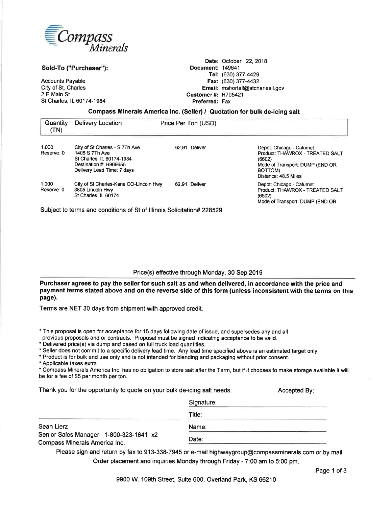

Sold-To ("Purchaser"):

**Accounts Payable** City of St. Charles 2 E Main St St Charles, IL 60174-1984

Date: October 22, 2018 Document: 149641 Tel: (630) 377-4429 Fax: (630) 377-4432 Email: mshortall@stcharlesil.gov **Customer#: H705421** Preferred: Fax

#### Compass Minerals America Inc. (Seller) / Quotation for bulk de-icing salt

| Quantity<br>(TN)    | Delivery Location                                                                                                                     | Price Per Ton (USD) |                                                                                                                                             |
|---------------------|---------------------------------------------------------------------------------------------------------------------------------------|---------------------|---------------------------------------------------------------------------------------------------------------------------------------------|
| 1.000<br>Reserve: 0 | City of St Charles - S 7Th Ave<br>1405 S 7Th Ave<br>St Charles, IL 60174-1984<br>Destination #: H969655<br>Delivery Lead Time: 7 days | Deliver<br>62.91    | Depot: Chicago - Calumet<br>Product: THAWROX - TREATED SALT<br>(6602)<br>Mode of Transport: DUMP (END OR<br>BOTTOM)<br>Distance: 48.5 Miles |
| 1.000<br>Reserve: 0 | City of St Charles-Kane CO-Lincoln Hwy<br>3805 Lincoln Hwy<br>St Charles, IL 60174                                                    | 62.91 Deliver       | Depot: Chicago - Calumet<br>Product: THAWROX - TREATED SALT<br>(6602)<br>Mode of Transport: DUMP (END OR                                    |

Subject to terms and conditions of St of Illinois Solicitation# 228529

#### Price(s) effective through Monday, 30 Sep 2019

Purchaser agrees to pay the seller for such salt as and when delivered, in accordance with the price and payment terms stated above and on the reverse side of this form (unless inconsistent with the terms on this page).

Terms are NET 30 days from shipment with approved credit.

\* This proposal is open for acceptance for 15 days following date of issue, and supersedes any and all

previous proposals and or contracts. Proposal must be signed indicating acceptance to be valid.

\* Delivered price(s) via dump and based on full truck load quantities.

Senior Sales Manager 1-800-323-1641 x2

Compass Minerals America Inc.

\* Seller does not commit to a specific delivery lead time. Any lead time specified above is an estimated target only.

\* Product is for bulk end use only and is not intended for blending and packaging without prior consent.

\* Applicable taxes extra

Sean Lierz

\* Compass Minerals America Inc. has no obligation to store salt after the Term, but if it chooses to make storage available it will be for a fee of \$5 per month per ton.

Thank you for the opportunity to quote on your bulk de-icing salt needs.

Signature: Title: Name: Date:

Please sign and return by fax to 913-338-7945 or e-mail highwaygroup@compassminerals.com or by mail Order placement and inquiries Monday through Friday - 7:00 am to 5:00 pm.

Accepted By;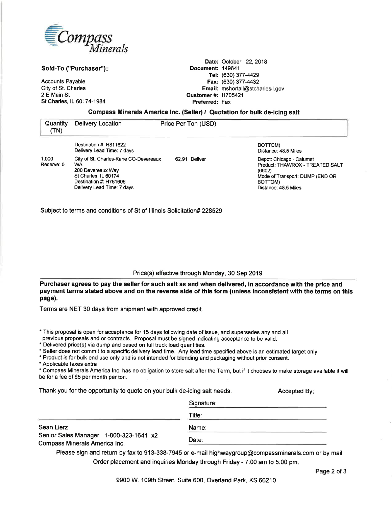

Sold-To ("Purchaser"):

**Accounts Payable** City of St. Charles 2 E Main St St Charles, IL 60174-1984

Date: October 22, 2018 Document: 149641 Tel: (630) 377-4429 Fax: (630) 377-4432 Email: mshortall@stcharlesil.gov **Customer#: H705421** Preferred: Fax

### Compass Minerals America Inc. (Seller) / Quotation for bulk de-icing salt

| Quantity<br>(TN)                                                       | Delivery Location                                                                                                                                       | Price Per Ton (USD) |                                                                                                                                             |
|------------------------------------------------------------------------|---------------------------------------------------------------------------------------------------------------------------------------------------------|---------------------|---------------------------------------------------------------------------------------------------------------------------------------------|
|                                                                        | Destination #: H811622<br>Delivery Lead Time: 7 days                                                                                                    |                     | BOTTOM)<br>Distance: 48.5 Miles                                                                                                             |
| 1.000<br>Reserve: 0                                                    | City of St. Charles-Kane CO-Devereaux<br><b>WA</b><br>200 Devereaux Way<br>St Charles, IL 60174<br>Destination #: H761606<br>Delivery Lead Time: 7 days | Deliver<br>62.91    | Depot: Chicago - Calumet<br>Product: THAWROX - TREATED SALT<br>(6602)<br>Mode of Transport: DUMP (END OR<br>BOTTOM)<br>Distance: 48.5 Miles |
| Subject to terms and conditions of St of Illinois Solicitation# 228529 |                                                                                                                                                         |                     |                                                                                                                                             |

Price(s) effective through Monday, 30 Sep 2019

Purchaser agrees to pay the seller for such salt as and when delivered, in accordance with the price and payment terms stated above and on the reverse side of this form (unless inconsistent with the terms on this page).

Terms are NET 30 days from shipment with approved credit.

\* This proposal is open for acceptance for 15 days following date of issue, and supersedes any and all

previous proposals and or contracts. Proposal must be signed indicating acceptance to be valid.

\* Delivered price(s) via dump and based on full truck load quantities.

\* Seller does not commit to a specific delivery lead time. Any lead time specified above is an estimated target only.

\* Product is for bulk end use only and is not intended for blending and packaging without prior consent.

\* Applicable taxes extra

\* Compass Minerals America Inc. has no obligation to store salt after the Term, but if it chooses to make storage available it will be for a fee of \$5 per month per ton.

Thank you for the opportunity to quote on your bulk de-icing salt needs.

Signature: Title: Sean Lierz Name: Senior Sales Manager 1-800-323-1641 x2 Date: Compass Minerals America Inc.

Please sign and return by fax to 913-338-7945 or e-mail highwaygroup@compassminerals.com or by mail Order placement and inquiries Monday through Friday - 7:00 am to 5:00 pm.

Accepted By;